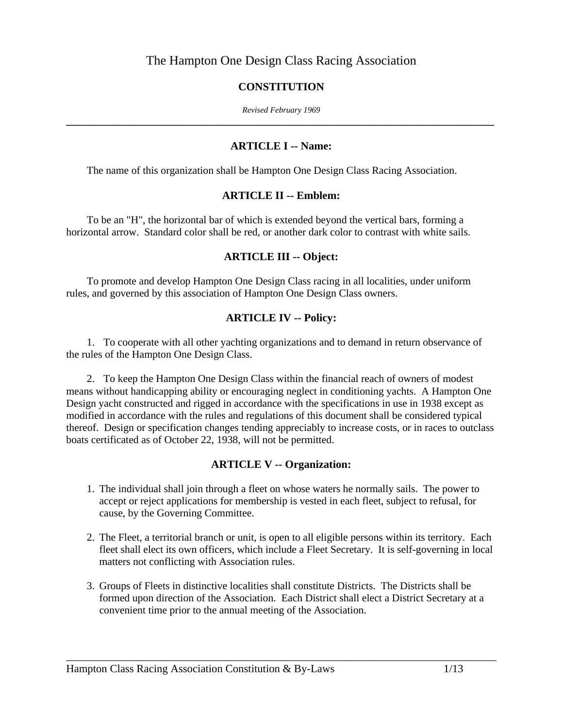# The Hampton One Design Class Racing Association

#### **CONSTITUTION**

*Revised February 1969*  **\_\_\_\_\_\_\_\_\_\_\_\_\_\_\_\_\_\_\_\_\_\_\_\_\_\_\_\_\_\_\_\_\_\_\_\_\_\_\_\_\_\_\_\_\_\_\_\_\_\_\_\_\_\_\_\_\_\_\_\_\_\_\_\_\_\_\_\_\_\_\_\_\_\_\_\_\_\_\_\_\_** 

#### **ARTICLE I -- Name:**

The name of this organization shall be Hampton One Design Class Racing Association.

#### **ARTICLE II -- Emblem:**

 To be an "H", the horizontal bar of which is extended beyond the vertical bars, forming a horizontal arrow. Standard color shall be red, or another dark color to contrast with white sails.

#### **ARTICLE III -- Object:**

 To promote and develop Hampton One Design Class racing in all localities, under uniform rules, and governed by this association of Hampton One Design Class owners.

# **ARTICLE IV -- Policy:**

 1. To cooperate with all other yachting organizations and to demand in return observance of the rules of the Hampton One Design Class.

 2. To keep the Hampton One Design Class within the financial reach of owners of modest means without handicapping ability or encouraging neglect in conditioning yachts. A Hampton One Design yacht constructed and rigged in accordance with the specifications in use in 1938 except as modified in accordance with the rules and regulations of this document shall be considered typical thereof. Design or specification changes tending appreciably to increase costs, or in races to outclass boats certificated as of October 22, 1938, will not be permitted.

# **ARTICLE V -- Organization:**

- 1. The individual shall join through a fleet on whose waters he normally sails. The power to accept or reject applications for membership is vested in each fleet, subject to refusal, for cause, by the Governing Committee.
- 2. The Fleet, a territorial branch or unit, is open to all eligible persons within its territory. Each fleet shall elect its own officers, which include a Fleet Secretary. It is self-governing in local matters not conflicting with Association rules.
- 3. Groups of Fleets in distinctive localities shall constitute Districts. The Districts shall be formed upon direction of the Association. Each District shall elect a District Secretary at a convenient time prior to the annual meeting of the Association.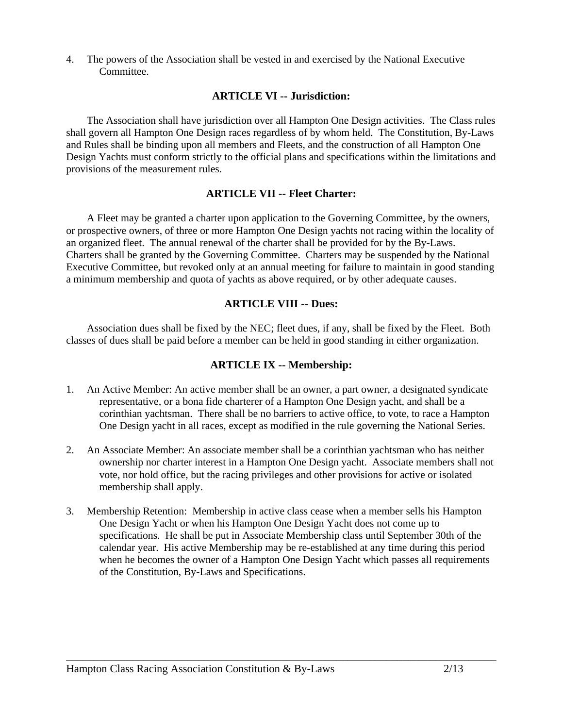4. The powers of the Association shall be vested in and exercised by the National Executive Committee.

#### **ARTICLE VI -- Jurisdiction:**

 The Association shall have jurisdiction over all Hampton One Design activities. The Class rules shall govern all Hampton One Design races regardless of by whom held. The Constitution, By-Laws and Rules shall be binding upon all members and Fleets, and the construction of all Hampton One Design Yachts must conform strictly to the official plans and specifications within the limitations and provisions of the measurement rules.

#### **ARTICLE VII -- Fleet Charter:**

 A Fleet may be granted a charter upon application to the Governing Committee, by the owners, or prospective owners, of three or more Hampton One Design yachts not racing within the locality of an organized fleet. The annual renewal of the charter shall be provided for by the By-Laws. Charters shall be granted by the Governing Committee. Charters may be suspended by the National Executive Committee, but revoked only at an annual meeting for failure to maintain in good standing a minimum membership and quota of yachts as above required, or by other adequate causes.

#### **ARTICLE VIII -- Dues:**

 Association dues shall be fixed by the NEC; fleet dues, if any, shall be fixed by the Fleet. Both classes of dues shall be paid before a member can be held in good standing in either organization.

#### **ARTICLE IX -- Membership:**

- 1. An Active Member: An active member shall be an owner, a part owner, a designated syndicate representative, or a bona fide charterer of a Hampton One Design yacht, and shall be a corinthian yachtsman. There shall be no barriers to active office, to vote, to race a Hampton One Design yacht in all races, except as modified in the rule governing the National Series.
- 2. An Associate Member: An associate member shall be a corinthian yachtsman who has neither ownership nor charter interest in a Hampton One Design yacht. Associate members shall not vote, nor hold office, but the racing privileges and other provisions for active or isolated membership shall apply.
- 3. Membership Retention: Membership in active class cease when a member sells his Hampton One Design Yacht or when his Hampton One Design Yacht does not come up to specifications. He shall be put in Associate Membership class until September 30th of the calendar year. His active Membership may be re-established at any time during this period when he becomes the owner of a Hampton One Design Yacht which passes all requirements of the Constitution, By-Laws and Specifications.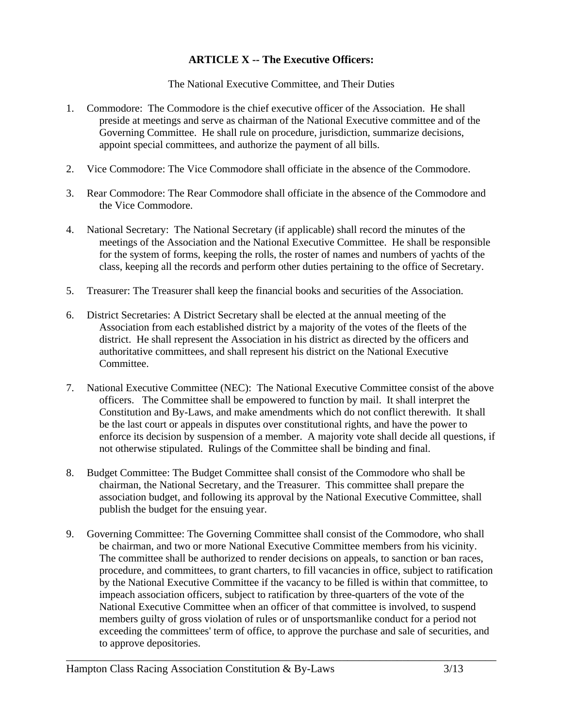# **ARTICLE X -- The Executive Officers:**

The National Executive Committee, and Their Duties

- 1. Commodore: The Commodore is the chief executive officer of the Association. He shall preside at meetings and serve as chairman of the National Executive committee and of the Governing Committee. He shall rule on procedure, jurisdiction, summarize decisions, appoint special committees, and authorize the payment of all bills.
- 2. Vice Commodore: The Vice Commodore shall officiate in the absence of the Commodore.
- 3. Rear Commodore: The Rear Commodore shall officiate in the absence of the Commodore and the Vice Commodore.
- 4. National Secretary: The National Secretary (if applicable) shall record the minutes of the meetings of the Association and the National Executive Committee. He shall be responsible for the system of forms, keeping the rolls, the roster of names and numbers of yachts of the class, keeping all the records and perform other duties pertaining to the office of Secretary.
- 5. Treasurer: The Treasurer shall keep the financial books and securities of the Association.
- 6. District Secretaries: A District Secretary shall be elected at the annual meeting of the Association from each established district by a majority of the votes of the fleets of the district. He shall represent the Association in his district as directed by the officers and authoritative committees, and shall represent his district on the National Executive Committee.
- 7. National Executive Committee (NEC): The National Executive Committee consist of the above officers. The Committee shall be empowered to function by mail. It shall interpret the Constitution and By-Laws, and make amendments which do not conflict therewith. It shall be the last court or appeals in disputes over constitutional rights, and have the power to enforce its decision by suspension of a member. A majority vote shall decide all questions, if not otherwise stipulated. Rulings of the Committee shall be binding and final.
- 8. Budget Committee: The Budget Committee shall consist of the Commodore who shall be chairman, the National Secretary, and the Treasurer. This committee shall prepare the association budget, and following its approval by the National Executive Committee, shall publish the budget for the ensuing year.
- 9. Governing Committee: The Governing Committee shall consist of the Commodore, who shall be chairman, and two or more National Executive Committee members from his vicinity. The committee shall be authorized to render decisions on appeals, to sanction or ban races, procedure, and committees, to grant charters, to fill vacancies in office, subject to ratification by the National Executive Committee if the vacancy to be filled is within that committee, to impeach association officers, subject to ratification by three-quarters of the vote of the National Executive Committee when an officer of that committee is involved, to suspend members guilty of gross violation of rules or of unsportsmanlike conduct for a period not exceeding the committees' term of office, to approve the purchase and sale of securities, and to approve depositories.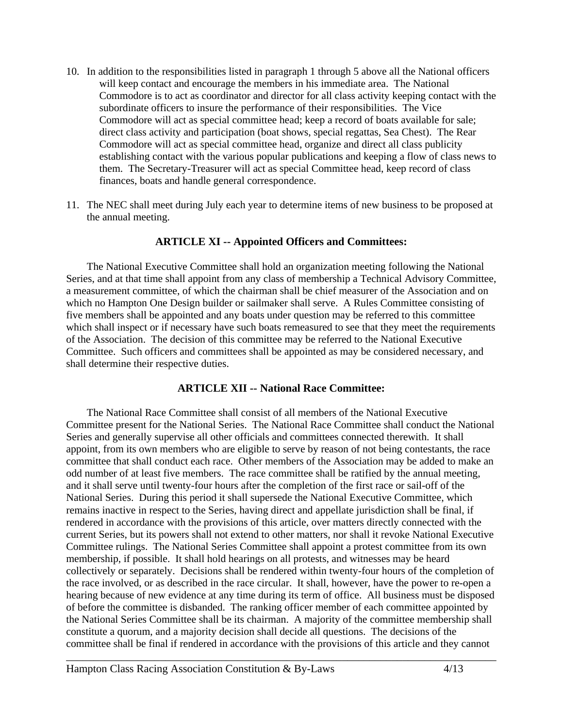- 10. In addition to the responsibilities listed in paragraph 1 through 5 above all the National officers will keep contact and encourage the members in his immediate area. The National Commodore is to act as coordinator and director for all class activity keeping contact with the subordinate officers to insure the performance of their responsibilities. The Vice Commodore will act as special committee head; keep a record of boats available for sale; direct class activity and participation (boat shows, special regattas, Sea Chest). The Rear Commodore will act as special committee head, organize and direct all class publicity establishing contact with the various popular publications and keeping a flow of class news to them. The Secretary-Treasurer will act as special Committee head, keep record of class finances, boats and handle general correspondence.
- 11. The NEC shall meet during July each year to determine items of new business to be proposed at the annual meeting.

#### **ARTICLE XI -- Appointed Officers and Committees:**

 The National Executive Committee shall hold an organization meeting following the National Series, and at that time shall appoint from any class of membership a Technical Advisory Committee, a measurement committee, of which the chairman shall be chief measurer of the Association and on which no Hampton One Design builder or sailmaker shall serve. A Rules Committee consisting of five members shall be appointed and any boats under question may be referred to this committee which shall inspect or if necessary have such boats remeasured to see that they meet the requirements of the Association. The decision of this committee may be referred to the National Executive Committee. Such officers and committees shall be appointed as may be considered necessary, and shall determine their respective duties.

# **ARTICLE XII -- National Race Committee:**

 The National Race Committee shall consist of all members of the National Executive Committee present for the National Series. The National Race Committee shall conduct the National Series and generally supervise all other officials and committees connected therewith. It shall appoint, from its own members who are eligible to serve by reason of not being contestants, the race committee that shall conduct each race. Other members of the Association may be added to make an odd number of at least five members. The race committee shall be ratified by the annual meeting, and it shall serve until twenty-four hours after the completion of the first race or sail-off of the National Series. During this period it shall supersede the National Executive Committee, which remains inactive in respect to the Series, having direct and appellate jurisdiction shall be final, if rendered in accordance with the provisions of this article, over matters directly connected with the current Series, but its powers shall not extend to other matters, nor shall it revoke National Executive Committee rulings. The National Series Committee shall appoint a protest committee from its own membership, if possible. It shall hold hearings on all protests, and witnesses may be heard collectively or separately. Decisions shall be rendered within twenty-four hours of the completion of the race involved, or as described in the race circular. It shall, however, have the power to re-open a hearing because of new evidence at any time during its term of office. All business must be disposed of before the committee is disbanded. The ranking officer member of each committee appointed by the National Series Committee shall be its chairman. A majority of the committee membership shall constitute a quorum, and a majority decision shall decide all questions. The decisions of the committee shall be final if rendered in accordance with the provisions of this article and they cannot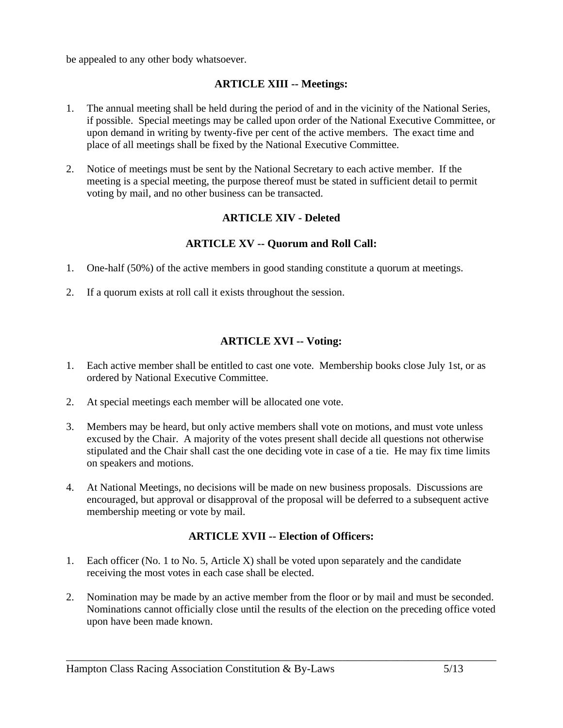be appealed to any other body whatsoever.

# **ARTICLE XIII -- Meetings:**

- 1. The annual meeting shall be held during the period of and in the vicinity of the National Series, if possible. Special meetings may be called upon order of the National Executive Committee, or upon demand in writing by twenty-five per cent of the active members. The exact time and place of all meetings shall be fixed by the National Executive Committee.
- 2. Notice of meetings must be sent by the National Secretary to each active member. If the meeting is a special meeting, the purpose thereof must be stated in sufficient detail to permit voting by mail, and no other business can be transacted.

# **ARTICLE XIV - Deleted**

# **ARTICLE XV -- Quorum and Roll Call:**

- 1. One-half (50%) of the active members in good standing constitute a quorum at meetings.
- 2. If a quorum exists at roll call it exists throughout the session.

# **ARTICLE XVI -- Voting:**

- 1. Each active member shall be entitled to cast one vote. Membership books close July 1st, or as ordered by National Executive Committee.
- 2. At special meetings each member will be allocated one vote.
- 3. Members may be heard, but only active members shall vote on motions, and must vote unless excused by the Chair. A majority of the votes present shall decide all questions not otherwise stipulated and the Chair shall cast the one deciding vote in case of a tie. He may fix time limits on speakers and motions.
- 4. At National Meetings, no decisions will be made on new business proposals. Discussions are encouraged, but approval or disapproval of the proposal will be deferred to a subsequent active membership meeting or vote by mail.

# **ARTICLE XVII -- Election of Officers:**

- 1. Each officer (No. 1 to No. 5, Article X) shall be voted upon separately and the candidate receiving the most votes in each case shall be elected.
- 2. Nomination may be made by an active member from the floor or by mail and must be seconded. Nominations cannot officially close until the results of the election on the preceding office voted upon have been made known.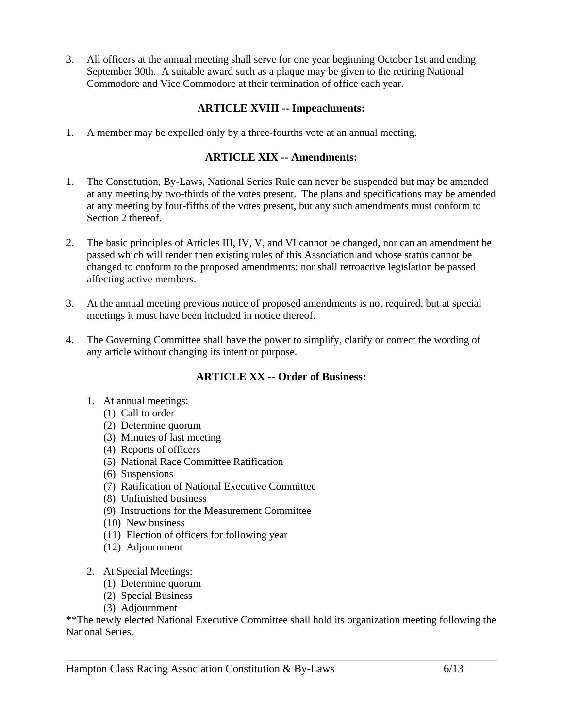3. All officers at the annual meeting shall serve for one year beginning October 1st and ending September 30th. A suitable award such as a plaque may be given to the retiring National Commodore and Vice Commodore at their termination of office each year.

# **ARTICLE XVIII -- Impeachments:**

1. A member may be expelled only by a three-fourths vote at an annual meeting.

# **ARTICLE XIX -- Amendments:**

- 1. The Constitution, By-Laws, National Series Rule can never be suspended but may be amended at any meeting by two-thirds of the votes present. The plans and specifications may be amended at any meeting by four-fifths of the votes present, but any such amendments must conform to Section 2 thereof.
- 2. The basic principles of Articles III, IV, V, and VI cannot be changed, nor can an amendment be passed which will render then existing rules of this Association and whose status cannot be changed to conform to the proposed amendments: nor shall retroactive legislation be passed affecting active members.
- 3. At the annual meeting previous notice of proposed amendments is not required, but at special meetings it must have been included in notice thereof.
- 4. The Governing Committee shall have the power to simplify, clarify or correct the wording of any article without changing its intent or purpose.

# **ARTICLE XX -- Order of Business:**

- 1. At annual meetings:
	- (1) Call to order
	- (2) Determine quorum
	- (3) Minutes of last meeting
	- (4) Reports of officers
	- (5) National Race Committee Ratification
	- (6) Suspensions
	- (7) Ratification of National Executive Committee
	- (8) Unfinished business
	- (9) Instructions for the Measurement Committee
	- (10) New business
	- (11) Election of officers for following year
	- (12) Adjournment
- 2. At Special Meetings:
	- (1) Determine quorum
	- (2) Special Business
	- (3) Adjournment

\*\*The newly elected National Executive Committee shall hold its organization meeting following the National Series.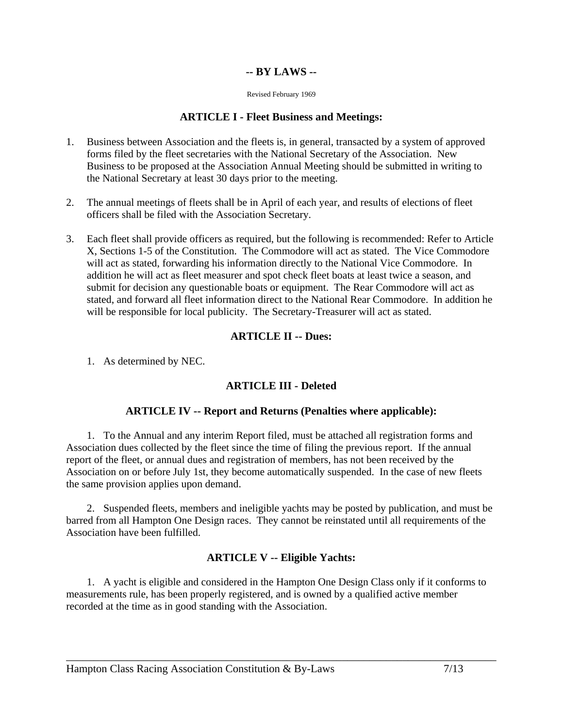# **-- BY LAWS --**

Revised February 1969

#### **ARTICLE I - Fleet Business and Meetings:**

- 1. Business between Association and the fleets is, in general, transacted by a system of approved forms filed by the fleet secretaries with the National Secretary of the Association. New Business to be proposed at the Association Annual Meeting should be submitted in writing to the National Secretary at least 30 days prior to the meeting.
- 2. The annual meetings of fleets shall be in April of each year, and results of elections of fleet officers shall be filed with the Association Secretary.
- 3. Each fleet shall provide officers as required, but the following is recommended: Refer to Article X, Sections 1-5 of the Constitution. The Commodore will act as stated. The Vice Commodore will act as stated, forwarding his information directly to the National Vice Commodore. In addition he will act as fleet measurer and spot check fleet boats at least twice a season, and submit for decision any questionable boats or equipment. The Rear Commodore will act as stated, and forward all fleet information direct to the National Rear Commodore. In addition he will be responsible for local publicity. The Secretary-Treasurer will act as stated.

# **ARTICLE II -- Dues:**

1. As determined by NEC.

# **ARTICLE III - Deleted**

# **ARTICLE IV -- Report and Returns (Penalties where applicable):**

 1. To the Annual and any interim Report filed, must be attached all registration forms and Association dues collected by the fleet since the time of filing the previous report. If the annual report of the fleet, or annual dues and registration of members, has not been received by the Association on or before July 1st, they become automatically suspended. In the case of new fleets the same provision applies upon demand.

 2. Suspended fleets, members and ineligible yachts may be posted by publication, and must be barred from all Hampton One Design races. They cannot be reinstated until all requirements of the Association have been fulfilled.

# **ARTICLE V -- Eligible Yachts:**

 1. A yacht is eligible and considered in the Hampton One Design Class only if it conforms to measurements rule, has been properly registered, and is owned by a qualified active member recorded at the time as in good standing with the Association.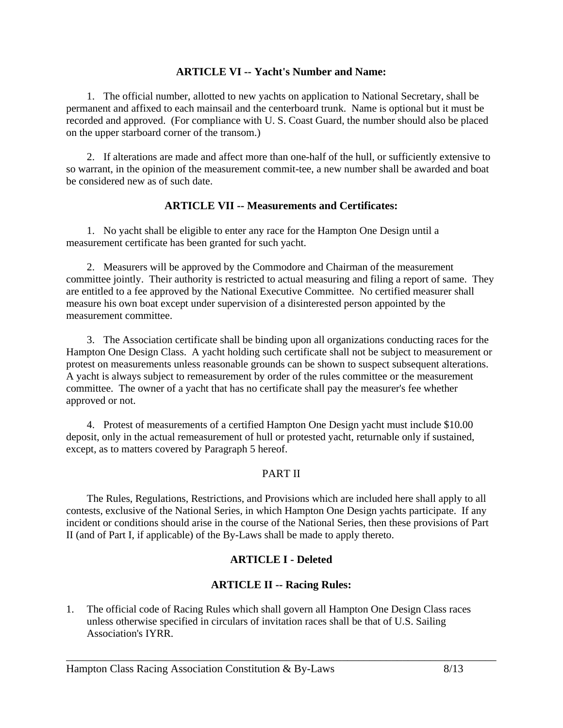#### **ARTICLE VI -- Yacht's Number and Name:**

 1. The official number, allotted to new yachts on application to National Secretary, shall be permanent and affixed to each mainsail and the centerboard trunk. Name is optional but it must be recorded and approved. (For compliance with U. S. Coast Guard, the number should also be placed on the upper starboard corner of the transom.)

 2. If alterations are made and affect more than one-half of the hull, or sufficiently extensive to so warrant, in the opinion of the measurement commit-tee, a new number shall be awarded and boat be considered new as of such date.

#### **ARTICLE VII -- Measurements and Certificates:**

 1. No yacht shall be eligible to enter any race for the Hampton One Design until a measurement certificate has been granted for such yacht.

 2. Measurers will be approved by the Commodore and Chairman of the measurement committee jointly. Their authority is restricted to actual measuring and filing a report of same. They are entitled to a fee approved by the National Executive Committee. No certified measurer shall measure his own boat except under supervision of a disinterested person appointed by the measurement committee.

 3. The Association certificate shall be binding upon all organizations conducting races for the Hampton One Design Class. A yacht holding such certificate shall not be subject to measurement or protest on measurements unless reasonable grounds can be shown to suspect subsequent alterations. A yacht is always subject to remeasurement by order of the rules committee or the measurement committee. The owner of a yacht that has no certificate shall pay the measurer's fee whether approved or not.

 4. Protest of measurements of a certified Hampton One Design yacht must include \$10.00 deposit, only in the actual remeasurement of hull or protested yacht, returnable only if sustained, except, as to matters covered by Paragraph 5 hereof.

# PART II

 The Rules, Regulations, Restrictions, and Provisions which are included here shall apply to all contests, exclusive of the National Series, in which Hampton One Design yachts participate. If any incident or conditions should arise in the course of the National Series, then these provisions of Part II (and of Part I, if applicable) of the By-Laws shall be made to apply thereto.

# **ARTICLE I - Deleted**

# **ARTICLE II -- Racing Rules:**

\_\_\_\_\_\_\_\_\_\_\_\_\_\_\_\_\_\_\_\_\_\_\_\_\_\_\_\_\_\_\_\_\_\_\_\_\_\_\_\_\_\_\_\_\_\_\_\_\_\_\_\_\_\_\_\_\_\_\_\_\_\_\_\_\_\_\_\_\_\_\_\_\_\_\_\_\_\_

1. The official code of Racing Rules which shall govern all Hampton One Design Class races unless otherwise specified in circulars of invitation races shall be that of U.S. Sailing Association's IYRR.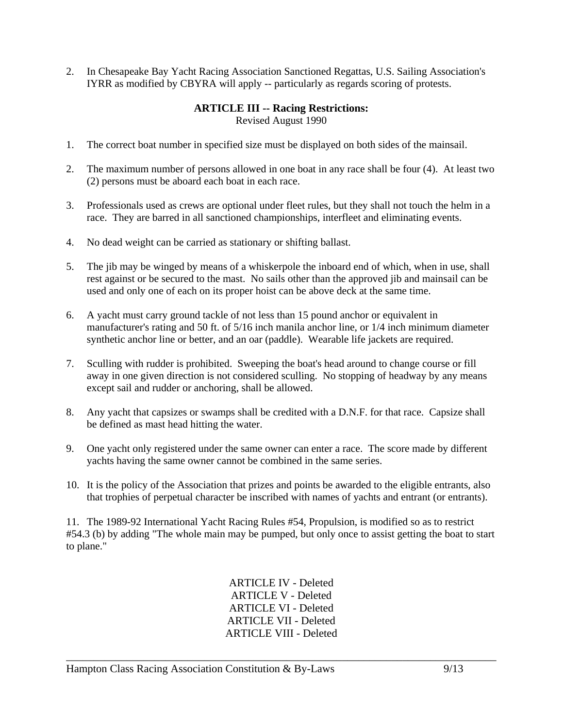2. In Chesapeake Bay Yacht Racing Association Sanctioned Regattas, U.S. Sailing Association's IYRR as modified by CBYRA will apply -- particularly as regards scoring of protests.

# **ARTICLE III -- Racing Restrictions:**

Revised August 1990

- 1. The correct boat number in specified size must be displayed on both sides of the mainsail.
- 2. The maximum number of persons allowed in one boat in any race shall be four (4). At least two (2) persons must be aboard each boat in each race.
- 3. Professionals used as crews are optional under fleet rules, but they shall not touch the helm in a race. They are barred in all sanctioned championships, interfleet and eliminating events.
- 4. No dead weight can be carried as stationary or shifting ballast.
- 5. The jib may be winged by means of a whiskerpole the inboard end of which, when in use, shall rest against or be secured to the mast. No sails other than the approved jib and mainsail can be used and only one of each on its proper hoist can be above deck at the same time.
- 6. A yacht must carry ground tackle of not less than 15 pound anchor or equivalent in manufacturer's rating and 50 ft. of 5/16 inch manila anchor line, or 1/4 inch minimum diameter synthetic anchor line or better, and an oar (paddle). Wearable life jackets are required.
- 7. Sculling with rudder is prohibited. Sweeping the boat's head around to change course or fill away in one given direction is not considered sculling. No stopping of headway by any means except sail and rudder or anchoring, shall be allowed.
- 8. Any yacht that capsizes or swamps shall be credited with a D.N.F. for that race. Capsize shall be defined as mast head hitting the water.
- 9. One yacht only registered under the same owner can enter a race. The score made by different yachts having the same owner cannot be combined in the same series.
- 10. It is the policy of the Association that prizes and points be awarded to the eligible entrants, also that trophies of perpetual character be inscribed with names of yachts and entrant (or entrants).

11. The 1989-92 International Yacht Racing Rules #54, Propulsion, is modified so as to restrict #54.3 (b) by adding "The whole main may be pumped, but only once to assist getting the boat to start to plane."

> ARTICLE IV - Deleted ARTICLE V - Deleted ARTICLE VI - Deleted ARTICLE VII - Deleted ARTICLE VIII - Deleted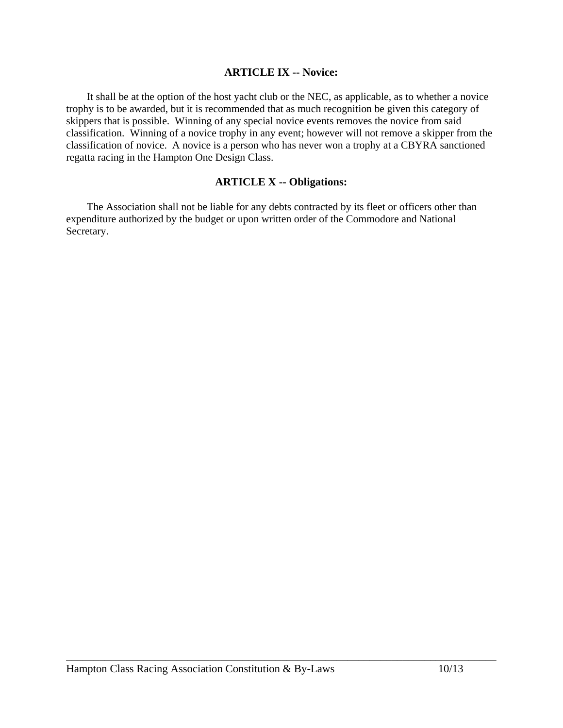#### **ARTICLE IX -- Novice:**

 It shall be at the option of the host yacht club or the NEC, as applicable, as to whether a novice trophy is to be awarded, but it is recommended that as much recognition be given this category of skippers that is possible. Winning of any special novice events removes the novice from said classification. Winning of a novice trophy in any event; however will not remove a skipper from the classification of novice. A novice is a person who has never won a trophy at a CBYRA sanctioned regatta racing in the Hampton One Design Class.

#### **ARTICLE X -- Obligations:**

 The Association shall not be liable for any debts contracted by its fleet or officers other than expenditure authorized by the budget or upon written order of the Commodore and National Secretary.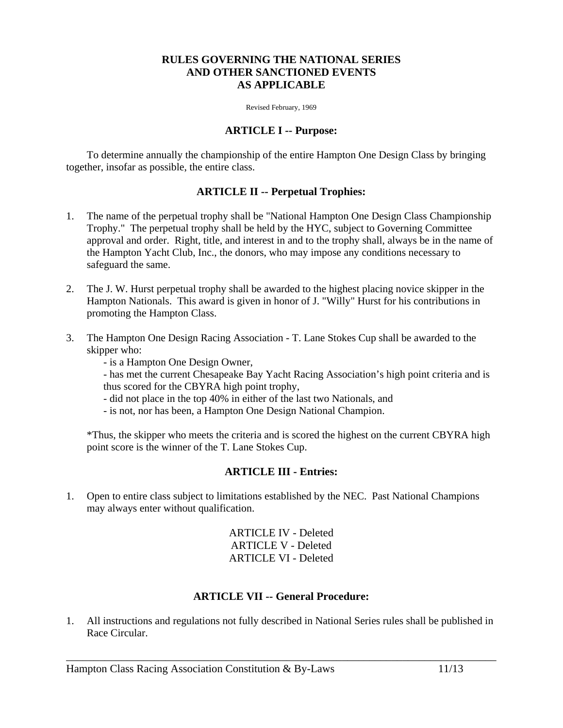#### **RULES GOVERNING THE NATIONAL SERIES AND OTHER SANCTIONED EVENTS AS APPLICABLE**

Revised February, 1969

#### **ARTICLE I -- Purpose:**

 To determine annually the championship of the entire Hampton One Design Class by bringing together, insofar as possible, the entire class.

#### **ARTICLE II -- Perpetual Trophies:**

- 1. The name of the perpetual trophy shall be "National Hampton One Design Class Championship Trophy." The perpetual trophy shall be held by the HYC, subject to Governing Committee approval and order. Right, title, and interest in and to the trophy shall, always be in the name of the Hampton Yacht Club, Inc., the donors, who may impose any conditions necessary to safeguard the same.
- 2. The J. W. Hurst perpetual trophy shall be awarded to the highest placing novice skipper in the Hampton Nationals. This award is given in honor of J. "Willy" Hurst for his contributions in promoting the Hampton Class.
- 3. The Hampton One Design Racing Association T. Lane Stokes Cup shall be awarded to the skipper who:
	- is a Hampton One Design Owner,
	- has met the current Chesapeake Bay Yacht Racing Association's high point criteria and is thus scored for the CBYRA high point trophy,
	- did not place in the top 40% in either of the last two Nationals, and
	- is not, nor has been, a Hampton One Design National Champion.

\*Thus, the skipper who meets the criteria and is scored the highest on the current CBYRA high point score is the winner of the T. Lane Stokes Cup.

#### **ARTICLE III - Entries:**

1. Open to entire class subject to limitations established by the NEC. Past National Champions may always enter without qualification.

> ARTICLE IV - Deleted ARTICLE V - Deleted ARTICLE VI - Deleted

# **ARTICLE VII -- General Procedure:**

1. All instructions and regulations not fully described in National Series rules shall be published in Race Circular.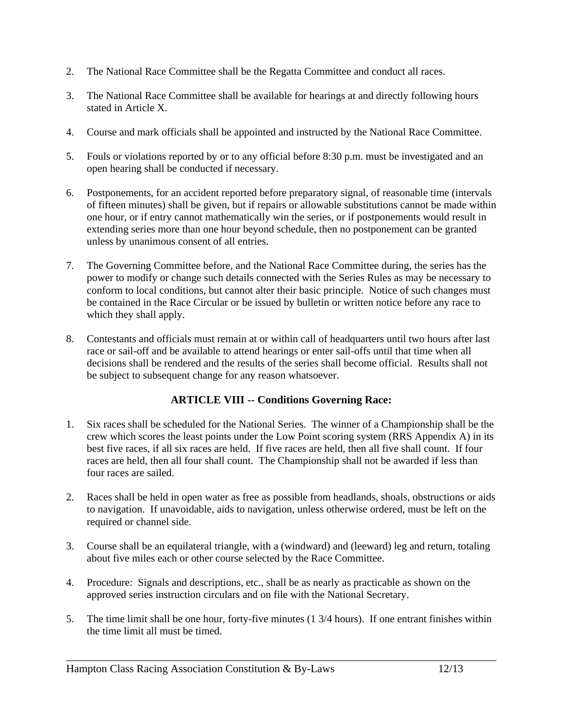- 2. The National Race Committee shall be the Regatta Committee and conduct all races.
- 3. The National Race Committee shall be available for hearings at and directly following hours stated in Article X.
- 4. Course and mark officials shall be appointed and instructed by the National Race Committee.
- 5. Fouls or violations reported by or to any official before 8:30 p.m. must be investigated and an open hearing shall be conducted if necessary.
- 6. Postponements, for an accident reported before preparatory signal, of reasonable time (intervals of fifteen minutes) shall be given, but if repairs or allowable substitutions cannot be made within one hour, or if entry cannot mathematically win the series, or if postponements would result in extending series more than one hour beyond schedule, then no postponement can be granted unless by unanimous consent of all entries.
- 7. The Governing Committee before, and the National Race Committee during, the series has the power to modify or change such details connected with the Series Rules as may be necessary to conform to local conditions, but cannot alter their basic principle. Notice of such changes must be contained in the Race Circular or be issued by bulletin or written notice before any race to which they shall apply.
- 8. Contestants and officials must remain at or within call of headquarters until two hours after last race or sail-off and be available to attend hearings or enter sail-offs until that time when all decisions shall be rendered and the results of the series shall become official. Results shall not be subject to subsequent change for any reason whatsoever.

# **ARTICLE VIII -- Conditions Governing Race:**

- 1. Six races shall be scheduled for the National Series. The winner of a Championship shall be the crew which scores the least points under the Low Point scoring system (RRS Appendix A) in its best five races, if all six races are held. If five races are held, then all five shall count. If four races are held, then all four shall count. The Championship shall not be awarded if less than four races are sailed.
- 2. Races shall be held in open water as free as possible from headlands, shoals, obstructions or aids to navigation. If unavoidable, aids to navigation, unless otherwise ordered, must be left on the required or channel side.
- 3. Course shall be an equilateral triangle, with a (windward) and (leeward) leg and return, totaling about five miles each or other course selected by the Race Committee.
- 4. Procedure: Signals and descriptions, etc., shall be as nearly as practicable as shown on the approved series instruction circulars and on file with the National Secretary.
- 5. The time limit shall be one hour, forty-five minutes (1 3/4 hours). If one entrant finishes within the time limit all must be timed.